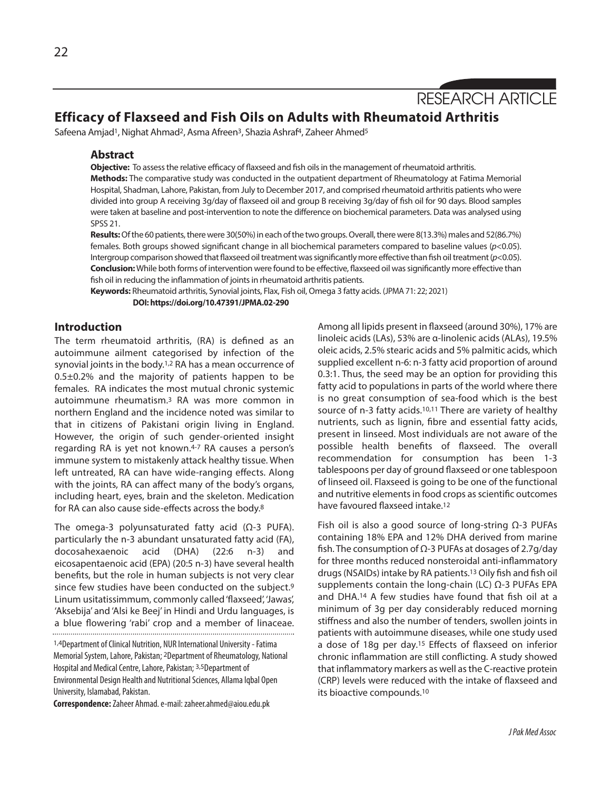RESEARCH ARTICLE

# **Efficacy of Flaxseed and Fish Oils on Adults with Rheumatoid Arthritis**

Safeena Amjad<sup>1</sup>, Nighat Ahmad<sup>2</sup>, Asma Afreen<sup>3</sup>, Shazia Ashraf<sup>4</sup>, Zaheer Ahmed<sup>5</sup>

### **Abstract**

**Objective:** To assessthe relative efficacy of flaxseed and fish oilsin the management of rheumatoid arthritis.

**Methods:** The comparative study was conducted in the outpatient department of Rheumatology at Fatima Memorial Hospital, Shadman, Lahore, Pakistan, from July to December 2017, and comprised rheumatoid arthritis patients who were divided into group A receiving 3g/day of flaxseed oil and group B receiving 3g/day of fish oil for 90 days. Blood samples were taken at baseline and post-intervention to note the difference on biochemical parameters. Data was analysed using SPSS 21.

**Results:** Of the 60 patients, there were 30(50%) in each of the two groups. Overall, there were 8(13.3%) males and 52(86.7%) females. Both groups showed significant change in all biochemical parameters compared to baseline values (*p*<0.05). Intergroup comparison showed that flaxseed oil treatment was significantly more effective than fish oil treatment (p<0.05). **Conclusion:**While both forms of intervention were found to be effective, flaxseed oil wassignificantly more effective than fish oil in reducing the inflammation of joints in rheumatoid arthritis patients.

**Keywords:** Rheumatoid arthritis, Synovial joints, Flax, Fish oil,Omega 3 fatty acids. (JPMA 71: 22; 2021)

**DOI: https://doi.org/10.47391/JPMA.02-290**

# **Introduction**

The term rheumatoid arthritis, (RA) is defined as an autoimmune ailment categorised by infection of the synovial joints in the body. 1,2 RA has a mean occurrence of 0.5±0.2% and the majority of patients happen to be females. RA indicates the most mutual chronic systemic autoimmune rheumatism.3 RA was more common in northern England and the incidence noted was similar to that in citizens of Pakistani origin living in England. However, the origin of such gender-oriented insight regarding RA is yet not known.4-7 RA causes a person's immune system to mistakenly attack healthy tissue. When left untreated, RA can have wide-ranging effects. Along with the joints, RA can affect many of the body's organs, including heart, eyes, brain and the skeleton. Medication for RA can also cause side-effects across the body. 8

The omega-3 polyunsaturated fatty acid (Ω-3 PUFA). particularly the n-3 abundant unsaturated fatty acid (FA), docosahexaenoic acid (DHA) (22:6 n-3) and eicosapentaenoic acid (EPA) (20:5 n-3) have several health benefits, but the role in human subjects is not very clear since few studies have been conducted on the subject.<sup>9</sup> Linum usitatissimmum, commonly called'flaxseed', 'Jawas', 'Aksebija' and 'Alsi ke Beej' in Hindi and Urdu languages, is a blue flowering 'rabi' crop and a member of linaceae.

**Correspondence:**Zaheer Ahmad.e-mail: zaheer.ahmed@aiou.edu.pk

Among all lipids present in flaxseed (around 30%), 17% are linoleic acids (LAs), 53% are α-linolenic acids (ALAs), 19.5% oleic acids, 2.5% stearic acids and 5% palmitic acids, which supplied excellent n-6: n-3 fatty acid proportion of around 0.3:1. Thus, the seed may be an option for providing this fatty acid to populations in parts of the world where there is no great consumption of sea-food which is the best source of n-3 fatty acids.<sup>10,11</sup> There are variety of healthy nutrients, such as lignin, fibre and essential fatty acids, present in linseed. Most individuals are not aware of the possible health benefits of flaxseed. The overall recommendation for consumption has been 1-3 tablespoons per day of ground flaxseed or one tablespoon of linseed oil. Flaxseed is going to be one of the functional and nutritive elements in food crops as scientific outcomes have favoured flaxseed intake. 12

Fish oil is also a good source of long-string Ω-3 PUFAs containing 18% EPA and 12% DHA derived from marine fish. The consumption of Ω-3 PUFAs at dosages of 2.7g/day for three months reduced nonsteroidal anti-inflammatory drugs(NSAIDs) intake by RA patients. <sup>13</sup> Oily fish and fish oil supplements contain the long-chain (LC) Ω-3 PUFAs EPA and DHA.14 A few studies have found that fish oil at a minimum of 3g per day considerably reduced morning stiffness and also the number of tenders, swollen joints in patients with autoimmune diseases, while one study used a dose of 18g per day.15 Effects of flaxseed on inferior chronic inflammation are still conflicting. A study showed that inflammatory markers as well asthe C-reactive protein (CRP) levels were reduced with the intake of flaxseed and its bioactive compounds. 10

<sup>1,4</sup>Department of Clinical Nutrition, NUR International University - Fatima Memorial System, Lahore, Pakistan; 2Department of Rheumatology, National Hospital and Medical Centre, Lahore, Pakistan; 3,5Department of Environmental Design Health and Nutritional Sciences, Allama Iqbal Open University, Islamabad, Pakistan.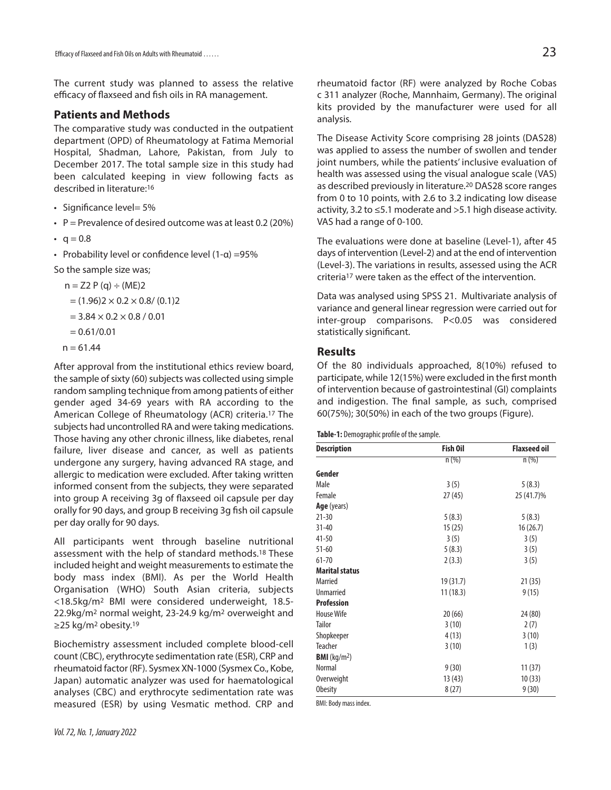The current study was planned to assess the relative efficacy of flaxseed and fish oils in RA management.

# **Patients and Methods**

The comparative study was conducted in the outpatient department (OPD) of Rheumatology at Fatima Memorial Hospital, Shadman, Lahore, Pakistan, from July to December 2017. The total sample size in this study had been calculated keeping in view following facts as described in literature: 16

- Significance level= 5%
- P = Prevalence of desired outcome was at least 0.2 (20%)
- $q = 0.8$
- Probability level or confidence level (1-α) =95%

So the sample size was;

$$
n = Z2 P(q) ÷ (ME)2
$$

 $= (1.96)2 \times 0.2 \times 0.8 / (0.1)2$ 

$$
= 3.84 \times 0.2 \times 0.8 / 0.01
$$

 $= 0.61/0.01$ 

 $n = 61.44$ 

After approval from the institutional ethics review board, the sample of sixty (60) subjects was collected using simple random sampling technique from among patients of either gender aged 34-69 years with RA according to the American College of Rheumatology (ACR) criteria.17 The subjects had uncontrolled RA and were taking medications. Those having any other chronic illness, like diabetes, renal failure, liver disease and cancer, as well as patients undergone any surgery, having advanced RA stage, and allergic to medication were excluded. After taking written informed consent from the subjects, they were separated into group A receiving 3g of flaxseed oil capsule per day orally for 90 days, and group B receiving 3g fish oil capsule per day orally for 90 days.

All participants went through baseline nutritional assessment with the help of standard methods.18 These included height and weight measurements to estimate the body mass index (BMI). As per the World Health Organisation (WHO) South Asian criteria, subjects <18.5kg/m2 BMI were considered underweight, 18.5- 22.9kg/m2 normal weight, 23-24.9 kg/m2 overweight and ≥25 kg/m<sup>2</sup> obesity.<sup>19</sup>

Biochemistry assessment included complete blood-cell count (CBC), erythrocyte sedimentation rate (ESR), CRP and rheumatoid factor (RF). Sysmex XN-1000 (Sysmex Co., Kobe, Japan) automatic analyzer was used for haematological analyses (CBC) and erythrocyte sedimentation rate was measured (ESR) by using Vesmatic method. CRP and rheumatoid factor (RF) were analyzed by Roche Cobas c 311 analyzer (Roche, Mannhaim, Germany). The original kits provided by the manufacturer were used for all analysis.

The Disease Activity Score comprising 28 joints (DAS28) was applied to assess the number of swollen and tender joint numbers, while the patients' inclusive evaluation of health was assessed using the visual analogue scale (VAS) as described previously in literature. <sup>20</sup> DAS28 score ranges from 0 to 10 points, with 2.6 to 3.2 indicating low disease activity, 3.2 to ≤5.1 moderate and >5.1 high disease activity. VAS had a range of 0-100.

The evaluations were done at baseline (Level-1), after 45 days of intervention (Level-2) and at the end of intervention (Level-3). The variations in results, assessed using the ACR criteria17 were taken as the effect of the intervention.

Data was analysed using SPSS 21. Multivariate analysis of variance and general linear regression were carried out for inter-group comparisons. P<0.05 was considered statistically significant.

## **Results**

Of the 80 individuals approached, 8(10%) refused to participate, while 12(15%) were excluded in the first month of intervention because of gastrointestinal (GI) complaints and indigestion. The final sample, as such, comprised 60(75%); 30(50%) in each of the two groups (Figure).

#### Table-1: Demographic profile of the sample.

| <b>Description</b>     | <b>Fish Oil</b> | <b>Flaxseed oil</b> |
|------------------------|-----------------|---------------------|
|                        | $n (\%)$        | $n (\%)$            |
| Gender                 |                 |                     |
| Male                   | 3(5)            | 5(8.3)              |
| Female                 | 27(45)          | 25 (41.7)%          |
| Age (years)            |                 |                     |
| $21 - 30$              | 5(8.3)          | 5(8.3)              |
| $31 - 40$              | 15(25)          | 16(26.7)            |
| $41 - 50$              | 3(5)            | 3(5)                |
| $51 - 60$              | 5(8.3)          | 3(5)                |
| $61 - 70$              | 2(3.3)          | 3(5)                |
| <b>Marital status</b>  |                 |                     |
| Married                | 19(31.7)        | 21(35)              |
| <b>Unmarried</b>       | 11(18.3)        | 9(15)               |
| <b>Profession</b>      |                 |                     |
| <b>House Wife</b>      | 20(66)          | 24 (80)             |
| <b>Tailor</b>          | 3(10)           | 2(7)                |
| Shopkeeper             | 4(13)           | 3(10)               |
| Teacher                | 3(10)           | 1(3)                |
| <b>BMI</b> ( $kg/m2$ ) |                 |                     |
| Normal                 | 9(30)           | 11(37)              |
| Overweight             | 13 (43)         | 10(33)              |
| <b>Obesity</b>         | 8(27)           | 9(30)               |

BMI: Body mass index.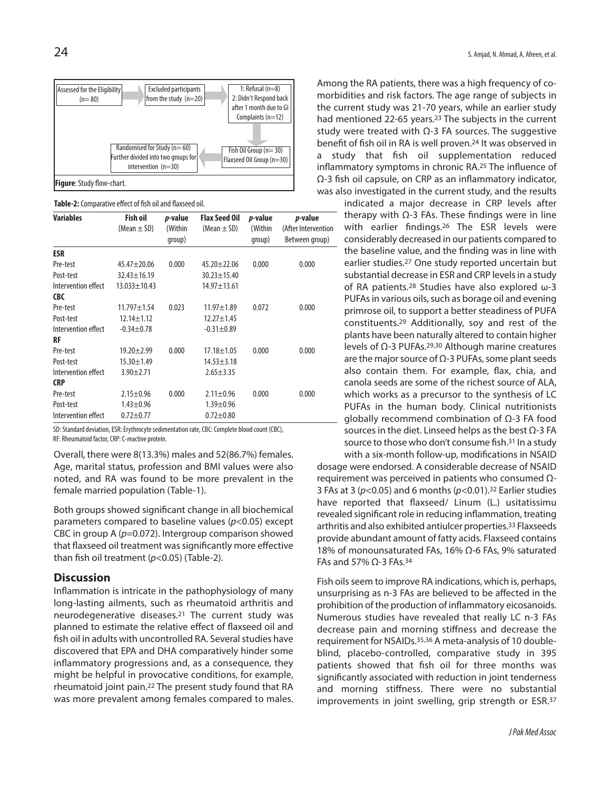

Table-2: Comparative effect of fish oil and flaxseed oil.

| <b>Variables</b>    | <b>Fish oil</b>    | p-value | <b>Flax Seed Oil</b> | p-value | p-value             |
|---------------------|--------------------|---------|----------------------|---------|---------------------|
|                     | (Mean $\pm$ SD)    | (Within | (Mean $\pm$ SD)      | (Within | (After Intervention |
|                     |                    | qroup)  |                      | qroup)  | Between group)      |
| <b>ESR</b>          |                    |         |                      |         |                     |
| Pre-test            | $45.47 \pm 20.06$  | 0.000   | $45.20 + 22.06$      | 0.000   | 0.000               |
| Post-test           | $32.43 \pm 16.19$  |         | $30.23 + 15.40$      |         |                     |
| Intervention effect | $13.033 \pm 10.43$ |         | $14.97 + 13.61$      |         |                     |
| <b>CBC</b>          |                    |         |                      |         |                     |
| Pre-test            | $11.797 \pm 1.54$  | 0.023   | $11.97 + 1.89$       | 0.072   | 0.000               |
| Post-test           | $12.14 \pm 1.12$   |         | $12.27 \pm 1.45$     |         |                     |
| Intervention effect | $-0.34 + 0.78$     |         | $-0.31 \pm 0.89$     |         |                     |
| RF                  |                    |         |                      |         |                     |
| Pre-test            | $19.20 + 2.99$     | 0.000   | $17.18 \pm 1.05$     | 0.000   | 0.000               |
| Post-test           | $15.30 \pm 1.49$   |         | $14.53 \pm 3.18$     |         |                     |
| Intervention effect | $3.90 \pm 2.71$    |         | $2.65 \pm 3.35$      |         |                     |
| <b>CRP</b>          |                    |         |                      |         |                     |
| Pre-test            | $2.15 \pm 0.96$    | 0.000   | $2.11 \pm 0.96$      | 0.000   | 0.000               |
| Post-test           | $1.43 \pm 0.96$    |         | $1.39 + 0.96$        |         |                     |
| Intervention effect | $0.72 \pm 0.77$    |         | $0.72 + 0.80$        |         |                     |

SD: Standard deviation, ESR: Erythrocyte sedimentation rate, CBC: Complete blood count (CBC), RF: Rheumatoid factor, CRP: C-reactive protein.

Overall, there were 8(13.3%) males and 52(86.7%) females. Age, marital status, profession and BMI values were also noted, and RA was found to be more prevalent in the female married population (Table-1).

Both groups showed significant change in all biochemical parameters compared to baseline values (*p*<0.05) except CBC in group A (*p*=0.072). Intergroup comparison showed that flaxseed oil treatment was significantly more effective than fish oil treatment (*p*<0.05) (Table-2).

# **Discussion**

Inflammation is intricate in the pathophysiology of many long-lasting ailments, such as rheumatoid arthritis and neurodegenerative diseases.21 The current study was planned to estimate the relative effect of flaxseed oil and fish oil in adults with uncontrolled RA. Several studies have discovered that EPA and DHA comparatively hinder some inflammatory progressions and, as a consequence, they might be helpful in provocative conditions, for example, rheumatoid joint pain.22 The present study found that RA was more prevalent among females compared to males.

Among the RA patients, there was a high frequency of comorbidities and risk factors. The age range of subjects in the current study was 21-70 years, while an earlier study had mentioned 22-65 years. <sup>23</sup> The subjects in the current study were treated with  $\Omega$ -3 FA sources. The suggestive benefit of fish oil in RA is well proven. 24 It was observed in a study that fish oil supplementation reduced inflammatory symptoms in chronic RA. <sup>25</sup> The influence of Ω-3 fish oil capsule, on CRP as an inflammatory indicator, was also investigated in the current study, and the results

> indicated a major decrease in CRP levels after therapy with  $Ω-3$  FAs. These findings were in line with earlier findings.26 The ESR levels were considerably decreased in our patients compared to the baseline value, and the finding was in line with earlier studies.<sup>27</sup> One study reported uncertain but substantial decrease in ESR and CRP levels in a study of RA patients.28 Studies have also explored ω-3 PUFAs in various oils, such as borage oil and evening primrose oil, to support a better steadiness of PUFA constituents.29 Additionally, soy and rest of the plants have been naturally altered to contain higher levels of Ω-3 PUFAs.<sup>29,30</sup> Although marine creatures are the major source of  $Ω-3$  PUFAs, some plant seeds also contain them. For example, flax, chia, and canola seeds are some of the richest source of ALA, which works as a precursor to the synthesis of LC PUFAs in the human body. Clinical nutritionists globally recommend combination of Ω-3 FA food sources in the diet. Linseed helps as the best  $Ω-3$  FA source to those who don't consume fish. <sup>31</sup> In a study with a six-month follow-up, modifications in NSAID

dosage were endorsed. A considerable decrease of NSAID requirement was perceived in patients who consumed Ω-3 FAs at 3 (*p*<0.05) and 6 months (*p*<0.01). <sup>32</sup> Earlier studies have reported that flaxseed/ Linum (L.) usitatissimu revealed significant role in reducing inflammation, treating arthritis and also exhibited antiulcer properties. <sup>33</sup> Flaxseeds provide abundant amount of fatty acids. Flaxseed contains 18% of monounsaturated FAs, 16% Ω-6 FAs, 9% saturated FAs and 57% Ω-3 FAs. 34

Fish oils seem to improve RA indications, which is, perhaps, unsurprising as n-3 FAs are believed to be affected in the prohibition of the production of inflammatory eicosanoids. Numerous studies have revealed that really LC n-3 FAs decrease pain and morning stiffness and decrease the requirement for NSAIDs. 35,36 A meta-analysis of 10 doubleblind, placebo-controlled, comparative study in 395 patients showed that fish oil for three months was significantly associated with reduction in joint tenderness and morning stiffness. There were no substantial improvements in joint swelling, grip strength or ESR.37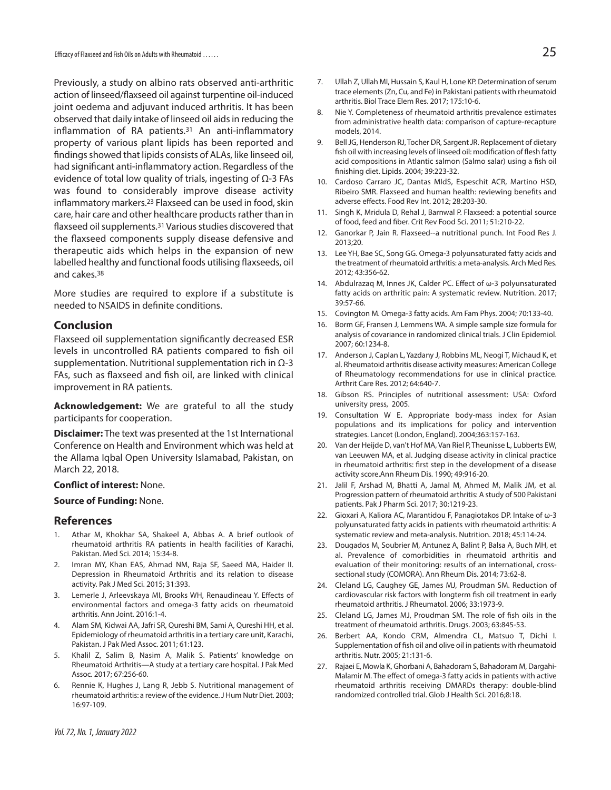Efficacy of Flaxseed and Fish Oils on Adults with Rheumatoid ......

Previously, a study on albino rats observed anti-arthritic action of linseed/flaxseed oil against turpentine oil-induced joint oedema and adjuvant induced arthritis. It has been observed that daily intake of linseed oil aidsin reducing the inflammation of RA patients.<sup>31</sup> An anti-inflammatory property of various plant lipids has been reported and findings showed that lipids consists of ALAs, like linseed oil, had significant anti-inflammatory action. Regardless of the evidence of total low quality of trials, ingesting of Ω-3 FAs was found to considerably improve disease activity inflammatory markers.<sup>23</sup> Flaxseed can be used in food, skin care, hair care and other healthcare products rather than in flaxseed oil supplements.<sup>31</sup> Various studies discovered that the flaxseed components supply disease defensive and therapeutic aids which helps in the expansion of new labelled healthy and functional foods utilising flaxseeds, oil and cakes. 38

More studies are required to explore if a substitute is needed to NSAIDS in definite conditions.

### **Conclusion**

Flaxseed oil supplementation significantly decreased ESR levels in uncontrolled RA patients compared to fish oil supplementation. Nutritional supplementation rich in Ω-3 FAs, such as flaxseed and fish oil, are linked with clinical improvement in RA patients.

**Acknowledgement:** We are grateful to all the study participants for cooperation.

**Disclaimer:** The text was presented at the 1st International Conference on Health and Environment which was held at the Allama Iqbal Open University Islamabad, Pakistan, on March 22, 2018.

#### **Conflict of interest:** None.

#### **Source of Funding:** None.

#### **References**

- 1. Athar M, Khokhar SA, Shakeel A, Abbas A. A brief outlook of rheumatoid arthritis RA patients in health facilities of Karachi, Pakistan. Med Sci. 2014; 15:34-8.
- 2. Imran MY, Khan EAS, Ahmad NM, Raja SF, Saeed MA, Haider II. Depression in Rheumatoid Arthritis and its relation to disease activity. Pak J Med Sci. 2015; 31:393.
- 3. Lemerle J, Arleevskaya MI, Brooks WH, Renaudineau Y. Effects of environmental factors and omega-3 fatty acids on rheumatoid arthritis. Ann Joint. 2016:1-4.
- 4. Alam SM, Kidwai AA, Jafri SR, Qureshi BM, Sami A, Qureshi HH, et al. Epidemiology of rheumatoid arthritis in a tertiary care unit, Karachi, Pakistan. J Pak Med Assoc. 2011; 61:123.
- 5. Khalil Z, Salim B, Nasim A, Malik S. Patients' knowledge on Rheumatoid Arthritis—A study at a tertiary care hospital. J Pak Med Assoc. 2017; 67:256-60.
- 6. Rennie K, Hughes J, Lang R, Jebb S. Nutritional management of rheumatoid arthritis: a review of the evidence.J Hum Nutr Diet. 2003; 16:97-109.
- 7. Ullah Z, Ullah MI, Hussain S, Kaul H, Lone KP. Determination of serum trace elements(Zn, Cu, and Fe) in Pakistani patients with rheumatoid arthritis. Biol Trace Elem Res. 2017; 175:10-6.
- 8. Nie Y. Completeness of rheumatoid arthritis prevalence estimates from administrative health data: comparison of capture-recapture models, 2014.
- 9. Bell JG, Henderson RJ, Tocher DR, Sargent JR. Replacement of dietary fish oil with increasing levels of linseed oil: modification of flesh fatty acid compositions in Atlantic salmon (Salmo salar) using a fish oil finishing diet. Lipids. 2004; 39:223-32.
- 10. Cardoso Carraro JC, Dantas MIdS, Espeschit ACR, Martino HSD, Ribeiro SMR. Flaxseed and human health: reviewing benefits and adverse effects. Food Rev Int. 2012; 28:203-30.
- 11. Singh K, Mridula D, Rehal J, Barnwal P. Flaxseed: a potential source of food, feed and fiber. Crit Rev Food Sci. 2011; 51:210-22.
- 12. Ganorkar P, Jain R. Flaxseed--a nutritional punch. Int Food Res J. 2013;20.
- 13. Lee YH, Bae SC, Song GG. Omega-3 polyunsaturated fatty acids and the treatment of rheumatoid arthritis: a meta-analysis. Arch Med Res. 2012; 43:356-62.
- 14. Abdulrazaq M, Innes JK, Calder PC. Effect of ω-3 polyunsaturated fatty acids on arthritic pain: A systematic review. Nutrition. 2017; 39:57-66.
- 15. Covington M. Omega-3 fatty acids. Am Fam Phys. 2004; 70:133-40.
- 16. Borm GF, Fransen J, Lemmens WA. A simple sample size formula for analysis of covariance in randomized clinical trials. J Clin Epidemiol. 2007; 60:1234-8.
- 17. Anderson J, Caplan L, Yazdany J, Robbins ML, Neogi T, Michaud K, et al. Rheumatoid arthritis disease activity measures: American College of Rheumatology recommendations for use in clinical practice. Arthrit Care Res. 2012; 64:640-7.
- 18. Gibson RS. Principles of nutritional assessment: USA: Oxford university press, 2005.
- 19. Consultation W E. Appropriate body-mass index for Asian populations and its implications for policy and intervention strategies. Lancet (London, England). 2004;363:157-163.
- 20. Van der Heijde D, van't Hof MA, Van Riel P, Theunisse L, Lubberts EW, van Leeuwen MA, et al. Judging disease activity in clinical practice in rheumatoid arthritis: first step in the development of a disease activity score.Ann Rheum Dis. 1990; 49:916-20.
- 21. Jalil F, Arshad M, Bhatti A, Jamal M, Ahmed M, Malik JM, et al. Progression pattern of rheumatoid arthritis: A study of 500 Pakistani patients. Pak J Pharm Sci. 2017; 30:1219-23.
- 22. Gioxari A, Kaliora AC, Marantidou F, Panagiotakos DP. Intake of ω-3 polyunsaturated fatty acids in patients with rheumatoid arthritis: A systematic review and meta-analysis. Nutrition. 2018; 45:114-24.
- 23. Dougados M, Soubrier M, Antunez A, Balint P, Balsa A, Buch MH, et al. Prevalence of comorbidities in rheumatoid arthritis and evaluation of their monitoring: results of an international, crosssectional study (COMORA). Ann Rheum Dis. 2014; 73:62-8.
- 24. Cleland LG, Caughey GE, James MJ, Proudman SM. Reduction of cardiovascular risk factors with longterm fish oil treatment in early rheumatoid arthritis. J Rheumatol. 2006; 33:1973-9.
- 25. Cleland LG, James MJ, Proudman SM. The role of fish oils in the treatment of rheumatoid arthritis. Drugs. 2003; 63:845-53.
- 26. Berbert AA, Kondo CRM, Almendra CL, Matsuo T, Dichi I. Supplementation of fish oil and olive oil in patients with rheumatoid arthritis. Nutr. 2005; 21:131-6.
- 27. Rajaei E, Mowla K, Ghorbani A, Bahadoram S, Bahadoram M, Dargahi-Malamir M. The effect of omega-3 fatty acids in patients with active rheumatoid arthritis receiving DMARDs therapy: double-blind randomized controlled trial. Glob J Health Sci. 2016;8:18.